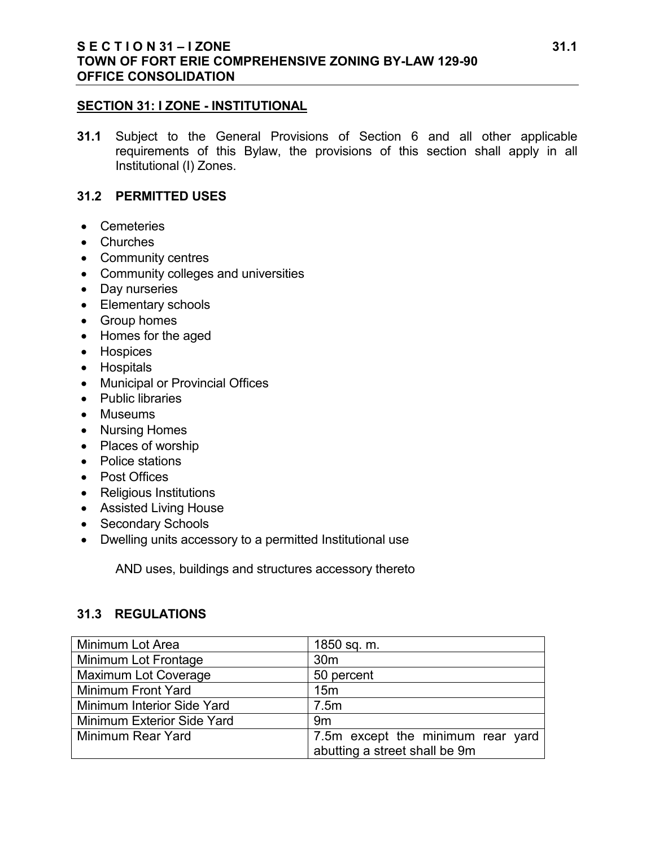### **S E C T I O N 31 – I ZONE 31.1 TOWN OF FORT ERIE COMPREHENSIVE ZONING BY-LAW 129-90 OFFICE CONSOLIDATION**

#### **SECTION 31: I ZONE - INSTITUTIONAL**

**31.1** Subject to the General Provisions of Section 6 and all other applicable requirements of this Bylaw, the provisions of this section shall apply in all Institutional (I) Zones.

### **31.2 PERMITTED USES**

- Cemeteries
- Churches
- Community centres
- Community colleges and universities
- Day nurseries
- Elementary schools
- Group homes
- Homes for the aged
- Hospices
- Hospitals
- Municipal or Provincial Offices
- Public libraries
- Museums
- Nursing Homes
- Places of worship
- Police stations
- Post Offices
- Religious Institutions
- Assisted Living House
- Secondary Schools
- Dwelling units accessory to a permitted Institutional use

AND uses, buildings and structures accessory thereto

### **31.3 REGULATIONS**

| Minimum Lot Area            | 1850 sq. m.                       |
|-----------------------------|-----------------------------------|
| Minimum Lot Frontage        | 30 <sub>m</sub>                   |
| <b>Maximum Lot Coverage</b> | 50 percent                        |
| Minimum Front Yard          | 15 <sub>m</sub>                   |
| Minimum Interior Side Yard  | 7.5m                              |
| Minimum Exterior Side Yard  | 9 <sub>m</sub>                    |
| Minimum Rear Yard           | 7.5m except the minimum rear yard |
|                             | abutting a street shall be 9m     |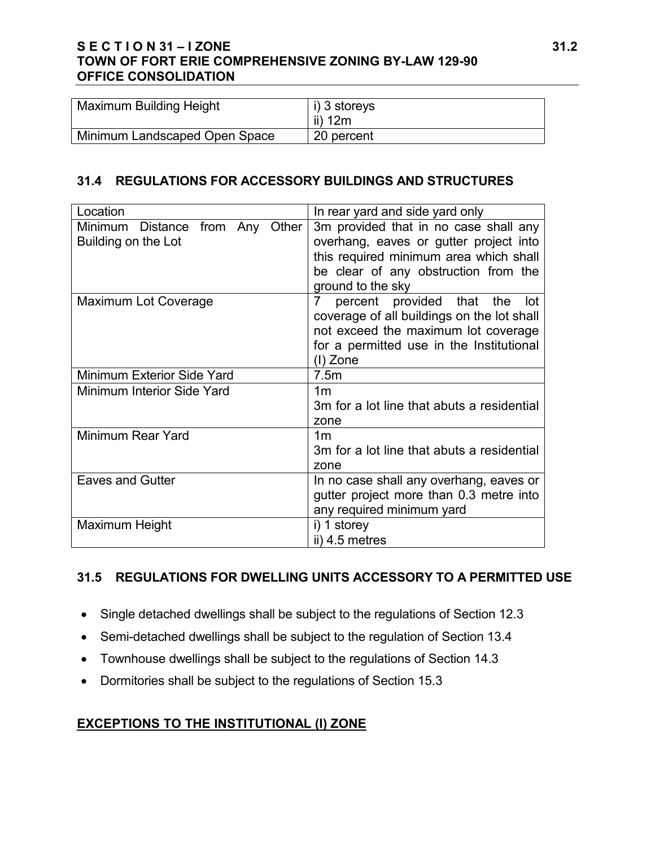## **S E C T I O N 31 – I ZONE 31.2 TOWN OF FORT ERIE COMPREHENSIVE ZONING BY-LAW 129-90 OFFICE CONSOLIDATION**

| <b>Maximum Building Height</b> | i) 3 storeys<br>ii) $12m$ |
|--------------------------------|---------------------------|
| Minimum Landscaped Open Space  | 20 percent                |

## **31.4 REGULATIONS FOR ACCESSORY BUILDINGS AND STRUCTURES**

| Location                        | In rear yard and side yard only            |
|---------------------------------|--------------------------------------------|
| Minimum Distance from Any Other | 3m provided that in no case shall any      |
| Building on the Lot             | overhang, eaves or gutter project into     |
|                                 | this required minimum area which shall     |
|                                 | be clear of any obstruction from the       |
|                                 | ground to the sky                          |
| <b>Maximum Lot Coverage</b>     | percent provided that the<br>7<br>lot      |
|                                 | coverage of all buildings on the lot shall |
|                                 | not exceed the maximum lot coverage        |
|                                 | for a permitted use in the Institutional   |
|                                 | (I) Zone                                   |
| Minimum Exterior Side Yard      | 7.5m                                       |
| Minimum Interior Side Yard      | 1m                                         |
|                                 | 3m for a lot line that abuts a residential |
|                                 | zone                                       |
| Minimum Rear Yard               | 1 <sub>m</sub>                             |
|                                 | 3m for a lot line that abuts a residential |
|                                 | zone                                       |
| <b>Eaves and Gutter</b>         | In no case shall any overhang, eaves or    |
|                                 | gutter project more than 0.3 metre into    |
|                                 | any required minimum yard                  |
| Maximum Height                  | i) 1 storey                                |
|                                 | ii) 4.5 metres                             |

# **31.5 REGULATIONS FOR DWELLING UNITS ACCESSORY TO A PERMITTED USE**

- Single detached dwellings shall be subject to the regulations of Section 12.3
- Semi-detached dwellings shall be subject to the regulation of Section 13.4
- Townhouse dwellings shall be subject to the regulations of Section 14.3
- Dormitories shall be subject to the regulations of Section 15.3

# **EXCEPTIONS TO THE INSTITUTIONAL (I) ZONE**